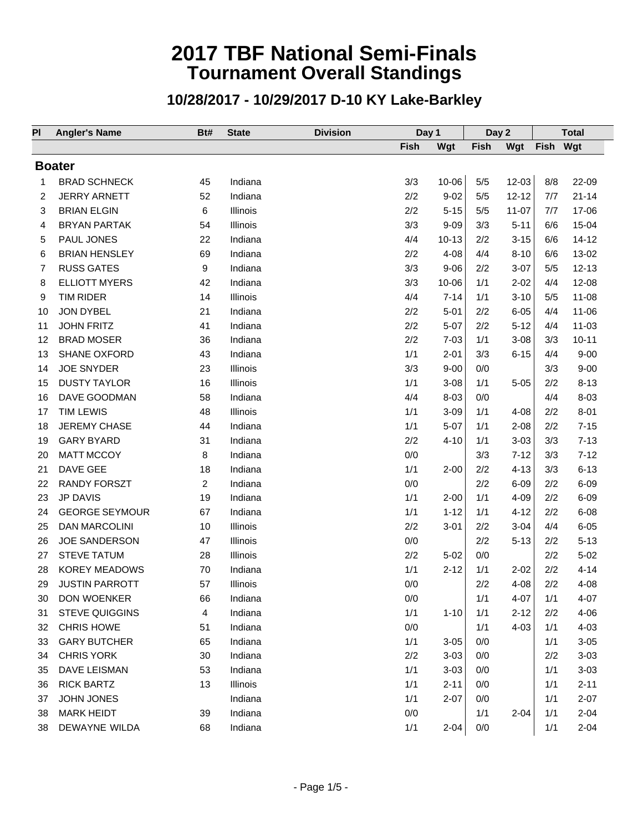| PI | <b>Angler's Name</b>  | Bt#            | <b>State</b> | <b>Division</b> | Day 1 |           | Day 2       |           | <b>Total</b> |           |
|----|-----------------------|----------------|--------------|-----------------|-------|-----------|-------------|-----------|--------------|-----------|
|    |                       |                |              |                 | Fish  | Wgt       | <b>Fish</b> | Wgt       | <b>Fish</b>  | Wgt       |
|    | <b>Boater</b>         |                |              |                 |       |           |             |           |              |           |
| 1  | <b>BRAD SCHNECK</b>   | 45             | Indiana      |                 | 3/3   | $10 - 06$ | 5/5         | $12 - 03$ | 8/8          | 22-09     |
| 2  | <b>JERRY ARNETT</b>   | 52             | Indiana      |                 | 2/2   | $9 - 02$  | 5/5         | $12 - 12$ | 7/7          | $21 - 14$ |
| 3  | <b>BRIAN ELGIN</b>    | 6              | Illinois     |                 | 2/2   | $5 - 15$  | 5/5         | $11 - 07$ | 7/7          | 17-06     |
| 4  | <b>BRYAN PARTAK</b>   | 54             | Illinois     |                 | 3/3   | $9 - 09$  | 3/3         | $5 - 11$  | 6/6          | $15 - 04$ |
| 5  | PAUL JONES            | 22             | Indiana      |                 | 4/4   | $10 - 13$ | 2/2         | $3 - 15$  | 6/6          | $14 - 12$ |
| 6  | <b>BRIAN HENSLEY</b>  | 69             | Indiana      |                 | 2/2   | $4 - 08$  | 4/4         | $8 - 10$  | 6/6          | 13-02     |
| 7  | <b>RUSS GATES</b>     | 9              | Indiana      |                 | 3/3   | $9 - 06$  | 2/2         | $3-07$    | 5/5          | $12 - 13$ |
| 8  | <b>ELLIOTT MYERS</b>  | 42             | Indiana      |                 | 3/3   | 10-06     | 1/1         | $2 - 02$  | 4/4          | $12 - 08$ |
| 9  | <b>TIM RIDER</b>      | 14             | Illinois     |                 | 4/4   | $7 - 14$  | 1/1         | $3 - 10$  | 5/5          | $11 - 08$ |
| 10 | JON DYBEL             | 21             | Indiana      |                 | 2/2   | $5 - 01$  | 2/2         | $6 - 05$  | 4/4          | $11 - 06$ |
| 11 | <b>JOHN FRITZ</b>     | 41             | Indiana      |                 | 2/2   | $5 - 07$  | 2/2         | $5 - 12$  | 4/4          | $11 - 03$ |
| 12 | <b>BRAD MOSER</b>     | 36             | Indiana      |                 | 2/2   | $7 - 03$  | 1/1         | $3 - 08$  | 3/3          | $10 - 11$ |
| 13 | <b>SHANE OXFORD</b>   | 43             | Indiana      |                 | 1/1   | $2 - 01$  | 3/3         | $6 - 15$  | 4/4          | $9 - 00$  |
| 14 | <b>JOE SNYDER</b>     | 23             | Illinois     |                 | 3/3   | $9 - 00$  | 0/0         |           | 3/3          | $9 - 00$  |
| 15 | <b>DUSTY TAYLOR</b>   | 16             | Illinois     |                 | 1/1   | $3 - 08$  | 1/1         | $5 - 05$  | 2/2          | $8 - 13$  |
| 16 | DAVE GOODMAN          | 58             | Indiana      |                 | 4/4   | $8 - 03$  | 0/0         |           | 4/4          | $8 - 03$  |
| 17 | <b>TIM LEWIS</b>      | 48             | Illinois     |                 | 1/1   | $3 - 09$  | 1/1         | $4 - 08$  | 2/2          | $8 - 01$  |
| 18 | <b>JEREMY CHASE</b>   | 44             | Indiana      |                 | 1/1   | $5-07$    | 1/1         | $2 - 08$  | 2/2          | $7 - 15$  |
| 19 | <b>GARY BYARD</b>     | 31             | Indiana      |                 | 2/2   | $4 - 10$  | 1/1         | $3 - 03$  | 3/3          | $7 - 13$  |
| 20 | <b>MATT MCCOY</b>     | 8              | Indiana      |                 | $0/0$ |           | 3/3         | $7 - 12$  | 3/3          | $7 - 12$  |
| 21 | DAVE GEE              | 18             | Indiana      |                 | 1/1   | $2 - 00$  | 2/2         | $4 - 13$  | 3/3          | $6 - 13$  |
| 22 | <b>RANDY FORSZT</b>   | $\overline{2}$ | Indiana      |                 | 0/0   |           | 2/2         | $6 - 09$  | 2/2          | $6 - 09$  |
| 23 | <b>JP DAVIS</b>       | 19             | Indiana      |                 | 1/1   | $2 - 00$  | 1/1         | $4 - 09$  | 2/2          | $6 - 09$  |
| 24 | <b>GEORGE SEYMOUR</b> | 67             | Indiana      |                 | 1/1   | $1 - 12$  | 1/1         | $4 - 12$  | 2/2          | $6 - 08$  |
| 25 | <b>DAN MARCOLINI</b>  | 10             | Illinois     |                 | 2/2   | $3 - 01$  | 2/2         | $3 - 04$  | 4/4          | $6 - 05$  |
| 26 | <b>JOE SANDERSON</b>  | 47             | Illinois     |                 | 0/0   |           | 2/2         | $5 - 13$  | 2/2          | $5 - 13$  |
| 27 | <b>STEVE TATUM</b>    | 28             | Illinois     |                 | 2/2   | $5 - 02$  | 0/0         |           | 2/2          | $5 - 02$  |
| 28 | <b>KOREY MEADOWS</b>  | 70             | Indiana      |                 | 1/1   | $2 - 12$  | 1/1         | $2 - 02$  | 2/2          | $4 - 14$  |
| 29 | <b>JUSTIN PARROTT</b> | 57             | Illinois     |                 | 0/0   |           | 2/2         | $4 - 08$  | 2/2          | $4 - 08$  |
| 30 | DON WOENKER           | 66             | Indiana      |                 | 0/0   |           | 1/1         | $4 - 07$  | 1/1          | $4 - 07$  |
| 31 | <b>STEVE QUIGGINS</b> | 4              | Indiana      |                 | 1/1   | $1 - 10$  | 1/1         | $2 - 12$  | 2/2          | $4 - 06$  |
| 32 | <b>CHRIS HOWE</b>     | 51             | Indiana      |                 | 0/0   |           | 1/1         | $4 - 03$  | 1/1          | $4 - 03$  |
| 33 | <b>GARY BUTCHER</b>   | 65             | Indiana      |                 | 1/1   | $3 - 05$  | 0/0         |           | 1/1          | $3 - 05$  |
| 34 | <b>CHRIS YORK</b>     | 30             | Indiana      |                 | 2/2   | $3 - 03$  | 0/0         |           | 2/2          | $3 - 03$  |
| 35 | <b>DAVE LEISMAN</b>   | 53             | Indiana      |                 | 1/1   | $3 - 03$  | 0/0         |           | 1/1          | $3 - 03$  |
| 36 | <b>RICK BARTZ</b>     | 13             | Illinois     |                 | 1/1   | $2 - 11$  | 0/0         |           | 1/1          | $2 - 11$  |
| 37 | <b>JOHN JONES</b>     |                | Indiana      |                 | 1/1   | $2 - 07$  | 0/0         |           | 1/1          | $2 - 07$  |
| 38 | <b>MARK HEIDT</b>     | 39             | Indiana      |                 | 0/0   |           | 1/1         | $2 - 04$  | 1/1          | $2 - 04$  |
| 38 | DEWAYNE WILDA         | 68             | Indiana      |                 | 1/1   | $2 - 04$  | 0/0         |           | 1/1          | $2 - 04$  |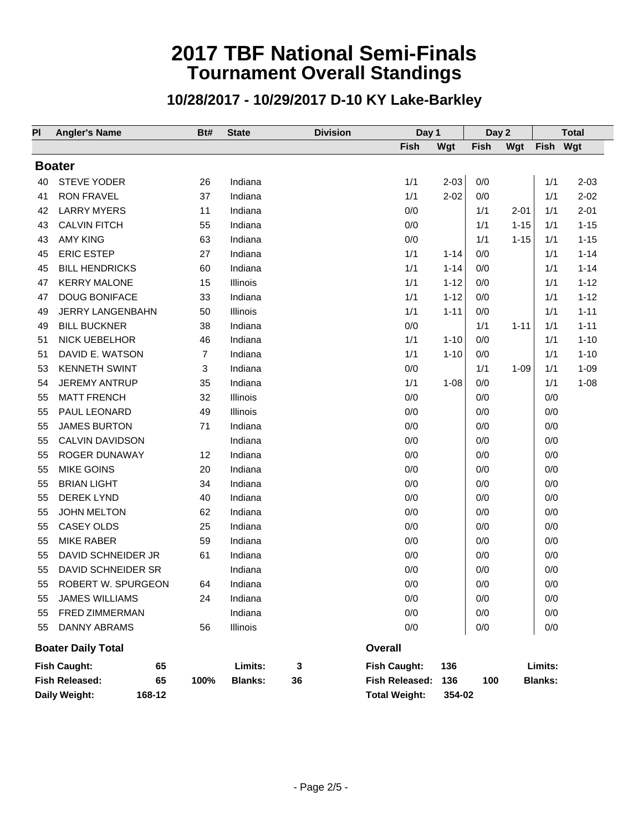| PI | <b>Angler's Name</b>        | Bt#  | <b>State</b>   | <b>Division</b> | Day 1                |          | Day 2       |          |                | <b>Total</b> |  |
|----|-----------------------------|------|----------------|-----------------|----------------------|----------|-------------|----------|----------------|--------------|--|
|    |                             |      |                |                 | <b>Fish</b>          | Wgt      | <b>Fish</b> | Wgt      | Fish           | Wgt          |  |
|    | <b>Boater</b>               |      |                |                 |                      |          |             |          |                |              |  |
| 40 | <b>STEVE YODER</b>          | 26   | Indiana        |                 | 1/1                  | $2 - 03$ | $0/0$       |          | 1/1            | $2 - 03$     |  |
| 41 | <b>RON FRAVEL</b>           | 37   | Indiana        |                 | 1/1                  | $2 - 02$ | 0/0         |          | 1/1            | $2 - 02$     |  |
| 42 | <b>LARRY MYERS</b>          | 11   | Indiana        |                 | 0/0                  |          | 1/1         | $2 - 01$ | 1/1            | $2 - 01$     |  |
| 43 | <b>CALVIN FITCH</b>         | 55   | Indiana        |                 | $0/0$                |          | 1/1         | $1 - 15$ | 1/1            | $1 - 15$     |  |
| 43 | <b>AMY KING</b>             | 63   | Indiana        |                 | 0/0                  |          | 1/1         | $1 - 15$ | 1/1            | $1 - 15$     |  |
| 45 | <b>ERIC ESTEP</b>           | 27   | Indiana        |                 | 1/1                  | $1 - 14$ | 0/0         |          | 1/1            | $1 - 14$     |  |
| 45 | <b>BILL HENDRICKS</b>       | 60   | Indiana        |                 | 1/1                  | $1 - 14$ | 0/0         |          | 1/1            | $1 - 14$     |  |
| 47 | <b>KERRY MALONE</b>         | 15   | Illinois       |                 | 1/1                  | $1 - 12$ | 0/0         |          | 1/1            | $1 - 12$     |  |
| 47 | <b>DOUG BONIFACE</b>        | 33   | Indiana        |                 | 1/1                  | $1 - 12$ | 0/0         |          | 1/1            | $1 - 12$     |  |
| 49 | JERRY LANGENBAHN            | 50   | Illinois       |                 | 1/1                  | $1 - 11$ | 0/0         |          | 1/1            | $1 - 11$     |  |
| 49 | <b>BILL BUCKNER</b>         | 38   | Indiana        |                 | 0/0                  |          | 1/1         | $1 - 11$ | 1/1            | $1 - 11$     |  |
| 51 | NICK UEBELHOR               | 46   | Indiana        |                 | 1/1                  | $1 - 10$ | 0/0         |          | 1/1            | $1 - 10$     |  |
| 51 | DAVID E. WATSON             | 7    | Indiana        |                 | 1/1                  | $1 - 10$ | 0/0         |          | 1/1            | $1 - 10$     |  |
| 53 | <b>KENNETH SWINT</b>        | 3    | Indiana        |                 | $0/0$                |          | 1/1         | $1 - 09$ | 1/1            | $1 - 09$     |  |
| 54 | <b>JEREMY ANTRUP</b>        | 35   | Indiana        |                 | 1/1                  | $1 - 08$ | 0/0         |          | 1/1            | $1 - 08$     |  |
| 55 | <b>MATT FRENCH</b>          | 32   | Illinois       |                 | 0/0                  |          | 0/0         |          | 0/0            |              |  |
| 55 | PAUL LEONARD                | 49   | Illinois       |                 | 0/0                  |          | $0/0$       |          | 0/0            |              |  |
| 55 | <b>JAMES BURTON</b>         | 71   | Indiana        |                 | 0/0                  |          | 0/0         |          | 0/0            |              |  |
| 55 | CALVIN DAVIDSON             |      | Indiana        |                 | $0/0$                |          | 0/0         |          | 0/0            |              |  |
| 55 | ROGER DUNAWAY               | 12   | Indiana        |                 | 0/0                  |          | 0/0         |          | 0/0            |              |  |
| 55 | <b>MIKE GOINS</b>           | 20   | Indiana        |                 | $0/0$                |          | 0/0         |          | 0/0            |              |  |
| 55 | <b>BRIAN LIGHT</b>          | 34   | Indiana        |                 | 0/0                  |          | 0/0         |          | 0/0            |              |  |
| 55 | <b>DEREK LYND</b>           | 40   | Indiana        |                 | $0/0$                |          | 0/0         |          | 0/0            |              |  |
| 55 | <b>JOHN MELTON</b>          | 62   | Indiana        |                 | $0/0$                |          | $0/0$       |          | 0/0            |              |  |
| 55 | CASEY OLDS                  | 25   | Indiana        |                 | $0/0$                |          | $0/0$       |          | 0/0            |              |  |
| 55 | <b>MIKE RABER</b>           | 59   | Indiana        |                 | 0/0                  |          | 0/0         |          | 0/0            |              |  |
| 55 | DAVID SCHNEIDER JR          | 61   | Indiana        |                 | $0/0$                |          | 0/0         |          | 0/0            |              |  |
| 55 | DAVID SCHNEIDER SR          |      | Indiana        |                 | $0/0$                |          | 0/0         |          | 0/0            |              |  |
| 55 | <b>ROBERT W. SPURGEON</b>   | 64   | Indiana        |                 | 0/0                  |          | 0/0         |          | 0/0            |              |  |
| 55 | <b>JAMES WILLIAMS</b>       | 24   | Indiana        |                 | 0/0                  |          | 0/0         |          | 0/0            |              |  |
| 55 | FRED ZIMMERMAN              |      | Indiana        |                 | 0/0                  |          | 0/0         |          | 0/0            |              |  |
| 55 | <b>DANNY ABRAMS</b>         | 56   | Illinois       |                 | 0/0                  |          | 0/0         |          | 0/0            |              |  |
|    | <b>Boater Daily Total</b>   |      |                |                 | <b>Overall</b>       |          |             |          |                |              |  |
|    | <b>Fish Caught:</b><br>65   |      | Limits:        | 3               | <b>Fish Caught:</b>  | 136      |             |          | Limits:        |              |  |
|    | <b>Fish Released:</b><br>65 | 100% | <b>Blanks:</b> | 36              | Fish Released:       | 136      | 100         |          | <b>Blanks:</b> |              |  |
|    | Daily Weight:<br>168-12     |      |                |                 | <b>Total Weight:</b> | 354-02   |             |          |                |              |  |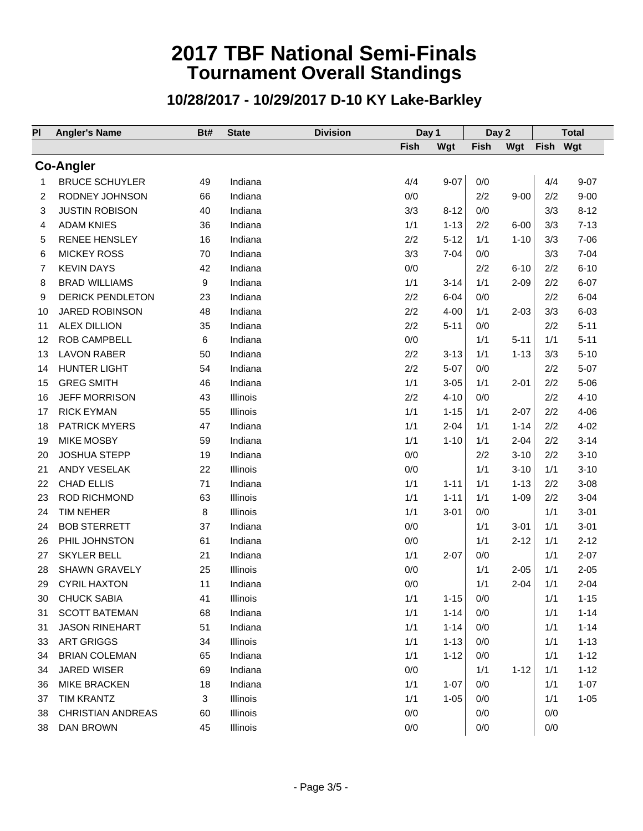| PI | <b>Angler's Name</b>     | Bt# | <b>State</b>    | <b>Division</b> | Day 1 |          | Day 2 |          |          | <b>Total</b> |
|----|--------------------------|-----|-----------------|-----------------|-------|----------|-------|----------|----------|--------------|
|    |                          |     |                 |                 | Fish  | Wgt      | Fish  | Wgt      | Fish Wgt |              |
|    | <b>Co-Angler</b>         |     |                 |                 |       |          |       |          |          |              |
| 1  | <b>BRUCE SCHUYLER</b>    | 49  | Indiana         |                 | 4/4   | $9 - 07$ | 0/0   |          | 4/4      | $9 - 07$     |
| 2  | RODNEY JOHNSON           | 66  | Indiana         |                 | 0/0   |          | 2/2   | $9 - 00$ | 2/2      | $9 - 00$     |
| 3  | <b>JUSTIN ROBISON</b>    | 40  | Indiana         |                 | 3/3   | $8 - 12$ | 0/0   |          | 3/3      | $8 - 12$     |
| 4  | <b>ADAM KNIES</b>        | 36  | Indiana         |                 | 1/1   | $1 - 13$ | 2/2   | $6 - 00$ | 3/3      | $7 - 13$     |
| 5  | <b>RENEE HENSLEY</b>     | 16  | Indiana         |                 | 2/2   | $5 - 12$ | 1/1   | $1 - 10$ | 3/3      | $7 - 06$     |
| 6  | <b>MICKEY ROSS</b>       | 70  | Indiana         |                 | 3/3   | $7 - 04$ | 0/0   |          | 3/3      | $7 - 04$     |
| 7  | <b>KEVIN DAYS</b>        | 42  | Indiana         |                 | 0/0   |          | 2/2   | $6 - 10$ | 2/2      | $6 - 10$     |
| 8  | <b>BRAD WILLIAMS</b>     | 9   | Indiana         |                 | 1/1   | $3 - 14$ | 1/1   | $2 - 09$ | 2/2      | $6 - 07$     |
| 9  | <b>DERICK PENDLETON</b>  | 23  | Indiana         |                 | 2/2   | $6 - 04$ | 0/0   |          | 2/2      | $6 - 04$     |
| 10 | <b>JARED ROBINSON</b>    | 48  | Indiana         |                 | 2/2   | $4 - 00$ | 1/1   | $2 - 03$ | 3/3      | $6 - 03$     |
| 11 | <b>ALEX DILLION</b>      | 35  | Indiana         |                 | 2/2   | $5 - 11$ | 0/0   |          | 2/2      | $5 - 11$     |
| 12 | <b>ROB CAMPBELL</b>      | 6   | Indiana         |                 | 0/0   |          | 1/1   | $5 - 11$ | 1/1      | $5 - 11$     |
| 13 | <b>LAVON RABER</b>       | 50  | Indiana         |                 | 2/2   | $3 - 13$ | 1/1   | $1 - 13$ | 3/3      | $5 - 10$     |
| 14 | <b>HUNTER LIGHT</b>      | 54  | Indiana         |                 | 2/2   | $5-07$   | 0/0   |          | 2/2      | $5 - 07$     |
| 15 | <b>GREG SMITH</b>        | 46  | Indiana         |                 | 1/1   | $3 - 05$ | 1/1   | $2 - 01$ | 2/2      | $5 - 06$     |
| 16 | <b>JEFF MORRISON</b>     | 43  | Illinois        |                 | 2/2   | $4 - 10$ | 0/0   |          | 2/2      | $4 - 10$     |
| 17 | <b>RICK EYMAN</b>        | 55  | Illinois        |                 | 1/1   | $1 - 15$ | 1/1   | $2 - 07$ | 2/2      | $4 - 06$     |
| 18 | <b>PATRICK MYERS</b>     | 47  | Indiana         |                 | 1/1   | $2 - 04$ | 1/1   | $1 - 14$ | 2/2      | $4 - 02$     |
| 19 | <b>MIKE MOSBY</b>        | 59  | Indiana         |                 | 1/1   | $1 - 10$ | 1/1   | $2 - 04$ | 2/2      | $3 - 14$     |
| 20 | <b>JOSHUA STEPP</b>      | 19  | Indiana         |                 | 0/0   |          | 2/2   | $3 - 10$ | 2/2      | $3 - 10$     |
| 21 | ANDY VESELAK             | 22  | Illinois        |                 | 0/0   |          | 1/1   | $3 - 10$ | 1/1      | $3 - 10$     |
| 22 | <b>CHAD ELLIS</b>        | 71  | Indiana         |                 | 1/1   | $1 - 11$ | 1/1   | $1 - 13$ | 2/2      | $3 - 08$     |
| 23 | <b>ROD RICHMOND</b>      | 63  | Illinois        |                 | 1/1   | $1 - 11$ | 1/1   | $1 - 09$ | 2/2      | $3 - 04$     |
| 24 | <b>TIM NEHER</b>         | 8   | Illinois        |                 | 1/1   | $3 - 01$ | 0/0   |          | 1/1      | $3 - 01$     |
| 24 | <b>BOB STERRETT</b>      | 37  | Indiana         |                 | 0/0   |          | 1/1   | $3 - 01$ | 1/1      | $3 - 01$     |
| 26 | PHIL JOHNSTON            | 61  | Indiana         |                 | 0/0   |          | 1/1   | $2 - 12$ | 1/1      | $2 - 12$     |
| 27 | <b>SKYLER BELL</b>       | 21  | Indiana         |                 | 1/1   | $2 - 07$ | 0/0   |          | 1/1      | $2 - 07$     |
| 28 | <b>SHAWN GRAVELY</b>     | 25  | Illinois        |                 | 0/0   |          | 1/1   | $2 - 05$ | 1/1      | $2 - 05$     |
| 29 | <b>CYRIL HAXTON</b>      | 11  | Indiana         |                 | 0/0   |          | 1/1   | $2 - 04$ | 1/1      | $2 - 04$     |
| 30 | <b>CHUCK SABIA</b>       | 41  | <b>Illinois</b> |                 | 1/1   | $1 - 15$ | 0/0   |          | 1/1      | $1 - 15$     |
| 31 | <b>SCOTT BATEMAN</b>     | 68  | Indiana         |                 | 1/1   | $1 - 14$ | 0/0   |          | 1/1      | $1 - 14$     |
| 31 | <b>JASON RINEHART</b>    | 51  | Indiana         |                 | 1/1   | $1 - 14$ | 0/0   |          | 1/1      | $1 - 14$     |
| 33 | <b>ART GRIGGS</b>        | 34  | Illinois        |                 | 1/1   | $1 - 13$ | 0/0   |          | 1/1      | $1 - 13$     |
| 34 | <b>BRIAN COLEMAN</b>     | 65  | Indiana         |                 | 1/1   | $1 - 12$ | 0/0   |          | 1/1      | $1 - 12$     |
| 34 | JARED WISER              | 69  | Indiana         |                 | 0/0   |          | 1/1   | $1 - 12$ | 1/1      | $1 - 12$     |
| 36 | MIKE BRACKEN             | 18  | Indiana         |                 | 1/1   | $1 - 07$ | 0/0   |          | 1/1      | $1 - 07$     |
| 37 | <b>TIM KRANTZ</b>        | 3   | Illinois        |                 | 1/1   | $1 - 05$ | 0/0   |          | 1/1      | $1 - 05$     |
| 38 | <b>CHRISTIAN ANDREAS</b> | 60  | Illinois        |                 | 0/0   |          | 0/0   |          | 0/0      |              |
| 38 | DAN BROWN                | 45  | Illinois        |                 | 0/0   |          | 0/0   |          | 0/0      |              |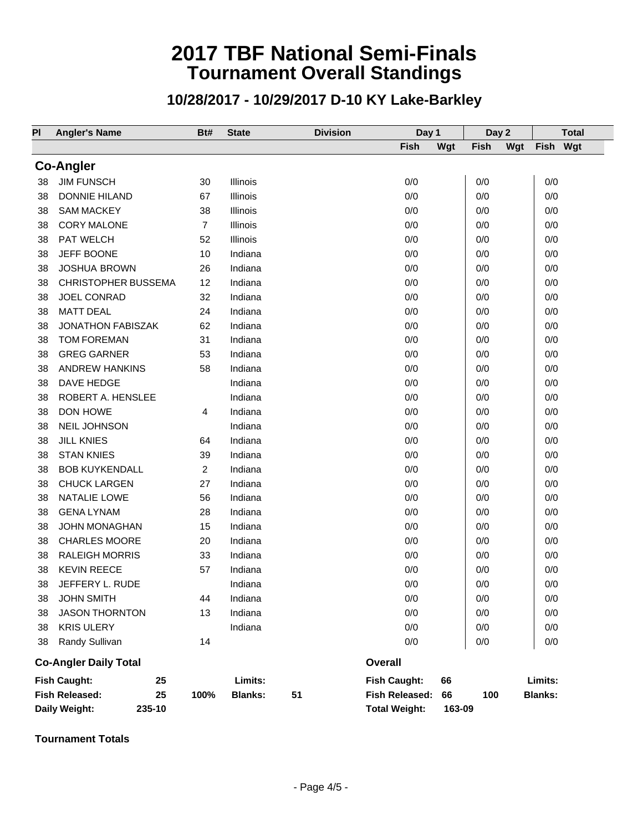#### **10/28/2017 - 10/29/2017 D-10 KY Lake-Barkley**

| PI | <b>Angler's Name</b>         | Bt#            | <b>State</b>   | <b>Division</b> | Day 1                |        | Day 2       |     |                | <b>Total</b> |
|----|------------------------------|----------------|----------------|-----------------|----------------------|--------|-------------|-----|----------------|--------------|
|    |                              |                |                |                 | <b>Fish</b>          | Wgt    | <b>Fish</b> | Wgt | <b>Fish</b>    | Wgt          |
|    | <b>Co-Angler</b>             |                |                |                 |                      |        |             |     |                |              |
| 38 | <b>JIM FUNSCH</b>            | 30             | Illinois       |                 | 0/0                  |        | 0/0         |     | 0/0            |              |
| 38 | <b>DONNIE HILAND</b>         | 67             | Illinois       |                 | 0/0                  |        | 0/0         |     | 0/0            |              |
| 38 | <b>SAM MACKEY</b>            | 38             | Illinois       |                 | 0/0                  |        | 0/0         |     | 0/0            |              |
| 38 | <b>CORY MALONE</b>           | $\overline{7}$ | Illinois       |                 | 0/0                  |        | 0/0         |     | 0/0            |              |
| 38 | PAT WELCH                    | 52             | Illinois       |                 | 0/0                  |        | 0/0         |     | 0/0            |              |
| 38 | JEFF BOONE                   | 10             | Indiana        |                 | 0/0                  |        | 0/0         |     | 0/0            |              |
| 38 | <b>JOSHUA BROWN</b>          | 26             | Indiana        |                 | 0/0                  |        | 0/0         |     | 0/0            |              |
| 38 | <b>CHRISTOPHER BUSSEMA</b>   | 12             | Indiana        |                 | 0/0                  |        | 0/0         |     | 0/0            |              |
| 38 | <b>JOEL CONRAD</b>           | 32             | Indiana        |                 | 0/0                  |        | 0/0         |     | 0/0            |              |
| 38 | <b>MATT DEAL</b>             | 24             | Indiana        |                 | 0/0                  |        | 0/0         |     | 0/0            |              |
| 38 | JONATHON FABISZAK            | 62             | Indiana        |                 | 0/0                  |        | 0/0         |     | 0/0            |              |
| 38 | <b>TOM FOREMAN</b>           | 31             | Indiana        |                 | 0/0                  |        | 0/0         |     | 0/0            |              |
| 38 | <b>GREG GARNER</b>           | 53             | Indiana        |                 | 0/0                  |        | 0/0         |     | 0/0            |              |
| 38 | <b>ANDREW HANKINS</b>        | 58             | Indiana        |                 | 0/0                  |        | 0/0         |     | 0/0            |              |
| 38 | DAVE HEDGE                   |                | Indiana        |                 | 0/0                  |        | 0/0         |     | 0/0            |              |
| 38 | ROBERT A. HENSLEE            |                | Indiana        |                 | 0/0                  |        | 0/0         |     | 0/0            |              |
| 38 | DON HOWE                     | $\overline{4}$ | Indiana        |                 | 0/0                  |        | 0/0         |     | 0/0            |              |
| 38 | NEIL JOHNSON                 |                | Indiana        |                 | 0/0                  |        | 0/0         |     | 0/0            |              |
| 38 | <b>JILL KNIES</b>            | 64             | Indiana        |                 | 0/0                  |        | 0/0         |     | 0/0            |              |
| 38 | <b>STAN KNIES</b>            | 39             | Indiana        |                 | 0/0                  |        | 0/0         |     | 0/0            |              |
| 38 | <b>BOB KUYKENDALL</b>        | $\overline{2}$ | Indiana        |                 | 0/0                  |        | 0/0         |     | 0/0            |              |
| 38 | <b>CHUCK LARGEN</b>          | 27             | Indiana        |                 | 0/0                  |        | 0/0         |     | 0/0            |              |
| 38 | NATALIE LOWE                 | 56             | Indiana        |                 | 0/0                  |        | 0/0         |     | 0/0            |              |
| 38 | <b>GENA LYNAM</b>            | 28             | Indiana        |                 | 0/0                  |        | 0/0         |     | 0/0            |              |
| 38 | <b>JOHN MONAGHAN</b>         | 15             | Indiana        |                 | 0/0                  |        | 0/0         |     | 0/0            |              |
| 38 | <b>CHARLES MOORE</b>         | 20             | Indiana        |                 | 0/0                  |        | 0/0         |     | 0/0            |              |
| 38 | <b>RALEIGH MORRIS</b>        | 33             | Indiana        |                 | 0/0                  |        | 0/0         |     | 0/0            |              |
| 38 | <b>KEVIN REECE</b>           | 57             | Indiana        |                 | 0/0                  |        | 0/0         |     | 0/0            |              |
| 38 | JEFFERY L. RUDE              |                | Indiana        |                 | 0/0                  |        | 0/0         |     | 0/0            |              |
| 38 | <b>JOHN SMITH</b>            | 44             | Indiana        |                 | 0/0                  |        | 0/0         |     | 0/0            |              |
| 38 | <b>JASON THORNTON</b>        | 13             | Indiana        |                 | 0/0                  |        | 0/0         |     | 0/0            |              |
| 38 | <b>KRIS ULERY</b>            |                | Indiana        |                 | 0/0                  |        | 0/0         |     | 0/0            |              |
| 38 | Randy Sullivan               | 14             |                |                 | 0/0                  |        | 0/0         |     | 0/0            |              |
|    | <b>Co-Angler Daily Total</b> |                |                |                 | <b>Overall</b>       |        |             |     |                |              |
|    | <b>Fish Caught:</b><br>25    |                | Limits:        |                 | <b>Fish Caught:</b>  | 66     |             |     | Limits:        |              |
|    | <b>Fish Released:</b><br>25  | 100%           | <b>Blanks:</b> | 51              | Fish Released:       | 66     | 100         |     | <b>Blanks:</b> |              |
|    | Daily Weight:<br>235-10      |                |                |                 | <b>Total Weight:</b> | 163-09 |             |     |                |              |

**Tournament Totals**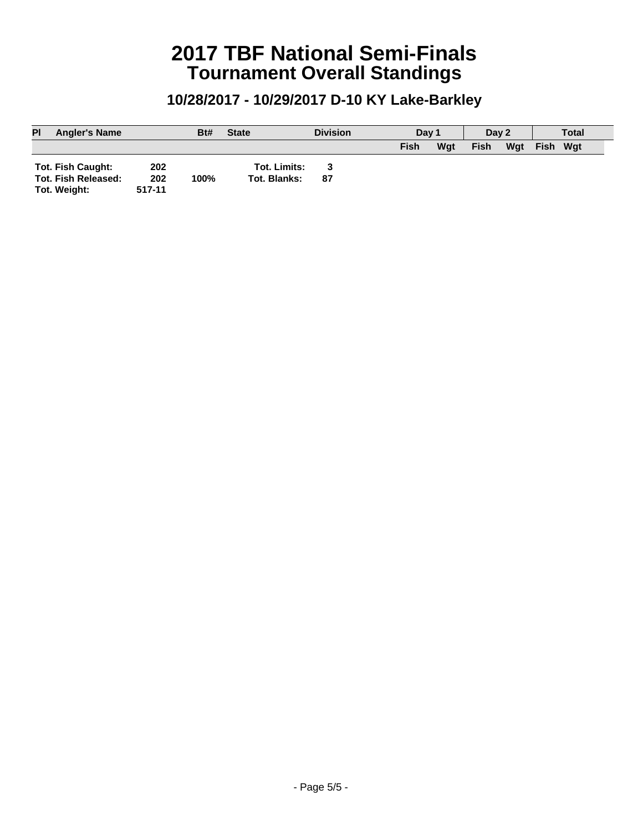| PI | <b>Angler's Name</b>     |        | Bt#  | <b>State</b>        | <b>Division</b> | Day 1 |     | Day 2       |     |             | <b>Total</b> |
|----|--------------------------|--------|------|---------------------|-----------------|-------|-----|-------------|-----|-------------|--------------|
|    |                          |        |      |                     |                 | Fish  | Wat | <b>Fish</b> | Wat | <b>Fish</b> | Wat          |
|    | <b>Tot. Fish Caught:</b> | 202    |      | <b>Tot. Limits:</b> |                 |       |     |             |     |             |              |
|    | Tot. Fish Released:      | 202    | 100% | Tot. Blanks:        | 87              |       |     |             |     |             |              |
|    | Tot. Weight:             | 517-11 |      |                     |                 |       |     |             |     |             |              |